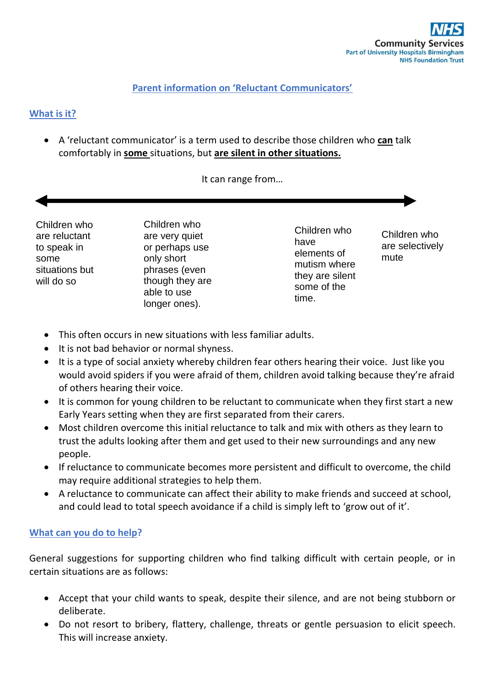## **Parent information on 'Reluctant Communicators'**

# **What is it?**

 A 'reluctant communicator' is a term used to describe those children who **can** talk comfortably in **some** situations, but **are silent in other situations.**

It can range from…

Children who are reluctant to speak in some situations but will do so

Children who are very quiet or perhaps use only short phrases (even though they are able to use longer ones).

Children who have elements of mutism where they are silent some of the time.

Children who are selectively mute

- This often occurs in new situations with less familiar adults.
- It is not bad behavior or normal shyness.
- It is a type of social anxiety whereby children fear others hearing their voice. Just like you would avoid spiders if you were afraid of them, children avoid talking because they're afraid of others hearing their voice.
- It is common for young children to be reluctant to communicate when they first start a new Early Years setting when they are first separated from their carers.
- Most children overcome this initial reluctance to talk and mix with others as they learn to trust the adults looking after them and get used to their new surroundings and any new people.
- If reluctance to communicate becomes more persistent and difficult to overcome, the child may require additional strategies to help them.
- A reluctance to communicate can affect their ability to make friends and succeed at school, and could lead to total speech avoidance if a child is simply left to 'grow out of it'.

### **What can you do to help?**

General suggestions for supporting children who find talking difficult with certain people, or in certain situations are as follows:

- Accept that your child wants to speak, despite their silence, and are not being stubborn or deliberate.
- Do not resort to bribery, flattery, challenge, threats or gentle persuasion to elicit speech. This will increase anxiety.